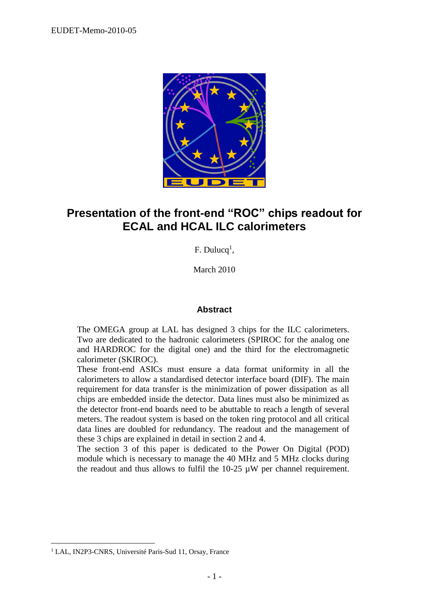

## **Presentation of the front-end "ROC" chips readout for ECAL and HCAL ILC calorimeters**

 $F.$  Dulucq<sup>1</sup>,

March 2010

#### **Abstract**

The OMEGA group at LAL has designed 3 chips for the ILC calorimeters. Two are dedicated to the hadronic calorimeters (SPIROC for the analog one and HARDROC for the digital one) and the third for the electromagnetic calorimeter (SKIROC).

These front-end ASICs must ensure a data format uniformity in all the calorimeters to allow a standardised detector interface board (DIF). The main requirement for data transfer is the minimization of power dissipation as all chips are embedded inside the detector. Data lines must also be minimized as the detector front-end boards need to be abuttable to reach a length of several meters. The readout system is based on the token ring protocol and all critical data lines are doubled for redundancy. The readout and the management of these 3 chips are explained in detail in section 2 and 4.

The section 3 of this paper is dedicated to the Power On Digital (POD) module which is necessary to manage the 40 MHz and 5 MHz clocks during the readout and thus allows to fulfil the  $10-25 \mu W$  per channel requirement.

 $\overline{a}$ 

<sup>&</sup>lt;sup>1</sup> LAL, IN2P3-CNRS, Université Paris-Sud 11, Orsay, France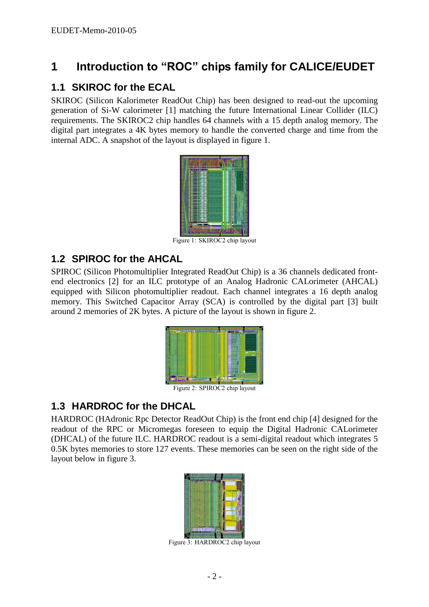## **1 Introduction to "ROC" chips family for CALICE/EUDET**

#### **1.1 SKIROC for the ECAL**

SKIROC (Silicon Kalorimeter ReadOut Chip) has been designed to read-out the upcoming generation of Si-W calorimeter [1] matching the future International Linear Collider (ILC) requirements. The SKIROC2 chip handles 64 channels with a 15 depth analog memory. The digital part integrates a 4K bytes memory to handle the converted charge and time from the internal ADC. A snapshot of the layout is displayed in figure 1.



Figure 1: SKIROC2 chip layout

#### **1.2 SPIROC for the AHCAL**

SPIROC (Silicon Photomultiplier Integrated ReadOut Chip) is a 36 channels dedicated frontend electronics [2] for an ILC prototype of an Analog Hadronic CALorimeter (AHCAL) equipped with Silicon photomultiplier readout. Each channel integrates a 16 depth analog memory. This Switched Capacitor Array (SCA) is controlled by the digital part [3] built around 2 memories of 2K bytes. A picture of the layout is shown in figure 2.



Figure 2: SPIROC2 chip layout

#### **1.3 HARDROC for the DHCAL**

HARDROC (HAdronic Rpc Detector ReadOut Chip) is the front end chip [4] designed for the readout of the RPC or Micromegas foreseen to equip the Digital Hadronic CALorimeter (DHCAL) of the future ILC. HARDROC readout is a semi-digital readout which integrates 5 0.5K bytes memories to store 127 events. These memories can be seen on the right side of the layout below in figure 3.



Figure 3: HARDROC2 chip layout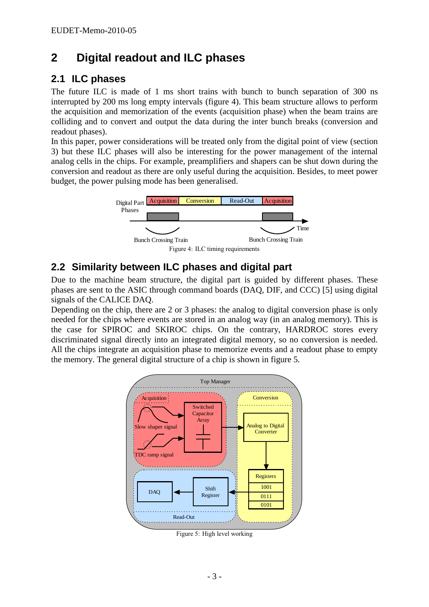# **2 Digital readout and ILC phases**

### **2.1 ILC phases**

The future ILC is made of 1 ms short trains with bunch to bunch separation of 300 ns interrupted by 200 ms long empty intervals (figure 4). This beam structure allows to perform the acquisition and memorization of the events (acquisition phase) when the beam trains are colliding and to convert and output the data during the inter bunch breaks (conversion and readout phases).

In this paper, power considerations will be treated only from the digital point of view (section 3) but these ILC phases will also be interesting for the power management of the internal analog cells in the chips. For example, preamplifiers and shapers can be shut down during the conversion and readout as there are only useful during the acquisition. Besides, to meet power budget, the power pulsing mode has been generalised.



### **2.2 Similarity between ILC phases and digital part**

Due to the machine beam structure, the digital part is guided by different phases. These phases are sent to the ASIC through command boards (DAQ, DIF, and CCC) [5] using digital signals of the CALICE DAQ.

Depending on the chip, there are 2 or 3 phases: the analog to digital conversion phase is only needed for the chips where events are stored in an analog way (in an analog memory). This is the case for SPIROC and SKIROC chips. On the contrary, HARDROC stores every discriminated signal directly into an integrated digital memory, so no conversion is needed. All the chips integrate an acquisition phase to memorize events and a readout phase to empty the memory. The general digital structure of a chip is shown in figure 5.



Figure 5: High level working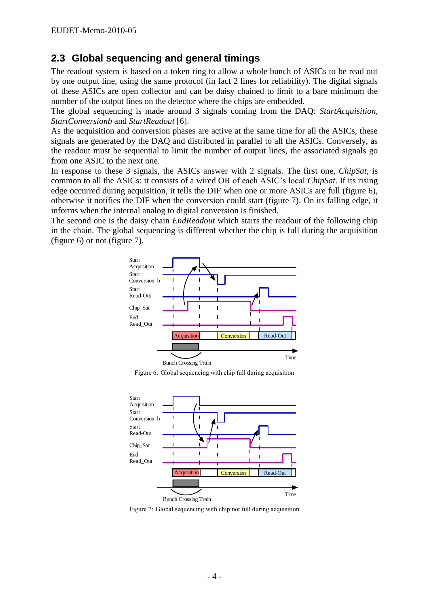#### **2.3 Global sequencing and general timings**

The readout system is based on a token ring to allow a whole bunch of ASICs to be read out by one output line, using the same protocol (in fact 2 lines for reliability). The digital signals of these ASICs are open collector and can be daisy chained to limit to a bare minimum the number of the output lines on the detector where the chips are embedded.

The global sequencing is made around 3 signals coming from the DAQ: *StartAcquisition*, *StartConversionb* and *StartReadout* [6].

As the acquisition and conversion phases are active at the same time for all the ASICs, these signals are generated by the DAQ and distributed in parallel to all the ASICs. Conversely, as the readout must be sequential to limit the number of output lines, the associated signals go from one ASIC to the next one.

In response to these 3 signals, the ASICs answer with 2 signals. The first one, *ChipSat*, is common to all the ASICs: it consists of a wired OR of each ASIC's local *ChipSat*. If its rising edge occurred during acquisition, it tells the DIF when one or more ASICs are full (figure 6), otherwise it notifies the DIF when the conversion could start (figure 7). On its falling edge, it informs when the internal analog to digital conversion is finished.

The second one is the daisy chain *EndReadout* which starts the readout of the following chip in the chain. The global sequencing is different whether the chip is full during the acquisition (figure 6) or not (figure 7).



Figure 6: Global sequencing with chip full during acquisition



Figure 7: Global sequencing with chip not full during acquisition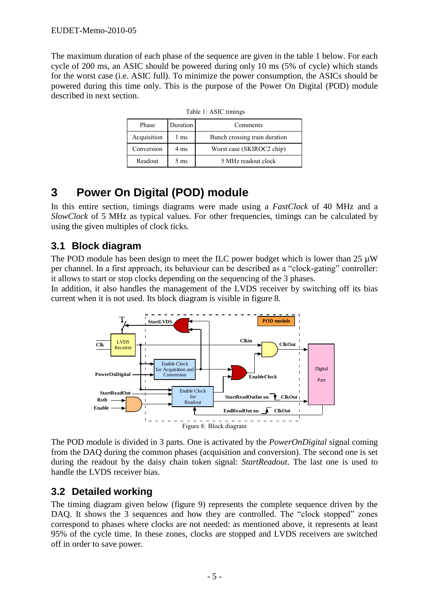The maximum duration of each phase of the sequence are given in the table 1 below. For each cycle of 200 ms, an ASIC should be powered during only 10 ms (5% of cycle) which stands for the worst case (i.e. ASIC full). To minimize the power consumption, the ASICs should be powered during this time only. This is the purpose of the Power On Digital (POD) module described in next section.

| Phase       | <b>Duration</b> | Comments                      |  |  |
|-------------|-----------------|-------------------------------|--|--|
| Acquisition | ms              | Bunch crossing train duration |  |  |
| Conversion  | 4 ms            | Worst case (SKIROC2 chip)     |  |  |
| Readout     | 5 ms            | 5 MHz readout clock           |  |  |

Table 1: ASIC timings

## **3 Power On Digital (POD) module**

In this entire section, timings diagrams were made using a *FastClock* of 40 MHz and a *SlowClock* of 5 MHz as typical values. For other frequencies, timings can be calculated by using the given multiples of clock ticks.

### **3.1 Block diagram**

The POD module has been design to meet the ILC power budget which is lower than  $25 \mu W$ per channel. In a first approach, its behaviour can be described as a "clock-gating" controller: it allows to start or stop clocks depending on the sequencing of the 3 phases.

In addition, it also handles the management of the LVDS receiver by switching off its bias current when it is not used. Its block diagram is visible in figure 8.



The POD module is divided in 3 parts. One is activated by the *PowerOnDigital* signal coming from the DAQ during the common phases (acquisition and conversion). The second one is set during the readout by the daisy chain token signal: *StartReadout*. The last one is used to handle the LVDS receiver bias.

### **3.2 Detailed working**

The timing diagram given below (figure 9) represents the complete sequence driven by the DAQ. It shows the 3 sequences and how they are controlled. The "clock stopped" zones correspond to phases where clocks are not needed: as mentioned above, it represents at least 95% of the cycle time. In these zones, clocks are stopped and LVDS receivers are switched off in order to save power.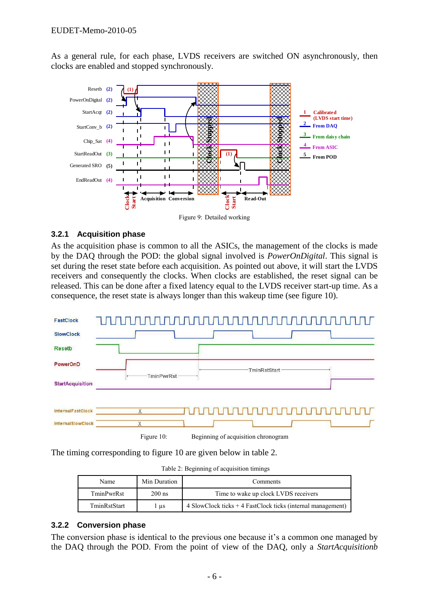As a general rule, for each phase, LVDS receivers are switched ON asynchronously, then clocks are enabled and stopped synchronously.



#### **3.2.1 Acquisition phase**

As the acquisition phase is common to all the ASICs, the management of the clocks is made by the DAQ through the POD: the global signal involved is *PowerOnDigital*. This signal is set during the reset state before each acquisition. As pointed out above, it will start the LVDS receivers and consequently the clocks. When clocks are established, the reset signal can be released. This can be done after a fixed latency equal to the LVDS receiver start-up time. As a consequence, the reset state is always longer than this wakeup time (see figure 10).



The timing corresponding to figure 10 are given below in table 2.

| Table 2: Beginning of acquisition timings |  |  |  |
|-------------------------------------------|--|--|--|
|-------------------------------------------|--|--|--|

| Name         | Min Duration | Comments                                                      |  |
|--------------|--------------|---------------------------------------------------------------|--|
| TminPwrRst   | $200$ ns     | Time to wake up clock LVDS receivers                          |  |
| TminRstStart | us           | $4$ SlowClock ticks + 4 FastClock ticks (internal management) |  |

#### **3.2.2 Conversion phase**

The conversion phase is identical to the previous one because it's a common one managed by the DAQ through the POD. From the point of view of the DAQ, only a *StartAcquisitionb*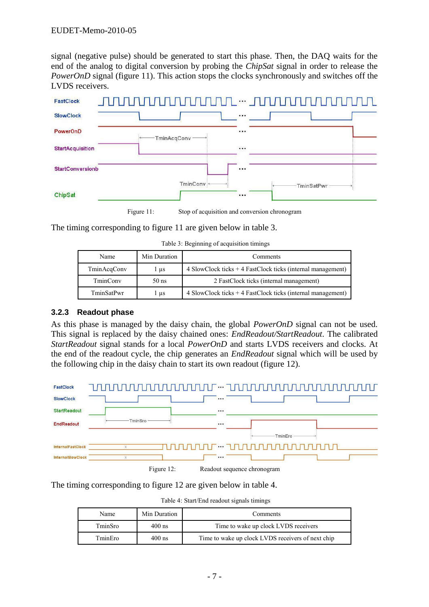signal (negative pulse) should be generated to start this phase. Then, the DAQ waits for the end of the analog to digital conversion by probing the *ChipSat* signal in order to release the *PowerOnD* signal (figure 11). This action stops the clocks synchronously and switches off the LVDS receivers.



Figure 11: Stop of acquisition and conversion chronogram

The timing corresponding to figure 11 are given below in table 3.

|  |  | Table 3: Beginning of acquisition timings |  |
|--|--|-------------------------------------------|--|
|  |  |                                           |  |

| Name        | Min Duration | Comments                                                                                                        |
|-------------|--------------|-----------------------------------------------------------------------------------------------------------------|
| TminAcqConv | l µs         | 4 SlowClock ticks $+$ 4 FastClock ticks (internal management)                                                   |
| TminConv    | $50$ ns      | 2 FastClock ticks (internal management)                                                                         |
| TminSatPwr  | l µs         | $\frac{4 \text{ SlowClock ticks} + 4 \text{ FastClock ticks} (internal management)}{2 \text{ new Clock ticks}}$ |

#### **3.2.3 Readout phase**

As this phase is managed by the daisy chain, the global *PowerOnD* signal can not be used. This signal is replaced by the daisy chained ones: *EndReadout/StartReadout*. The calibrated *StartReadout* signal stands for a local *PowerOnD* and starts LVDS receivers and clocks. At the end of the readout cycle, the chip generates an *EndReadout* signal which will be used by the following chip in the daisy chain to start its own readout (figure 12).



Figure 12: Readout sequence chronogram

The timing corresponding to figure 12 are given below in table 4.

| Table 4: Start/End readout signals timings |  |  |
|--------------------------------------------|--|--|

| Name    | Min Duration | Comments                                          |  |
|---------|--------------|---------------------------------------------------|--|
| TminSro | $400$ ns     | Time to wake up clock LVDS receivers              |  |
| TminEro | $400$ ns     | Time to wake up clock LVDS receivers of next chip |  |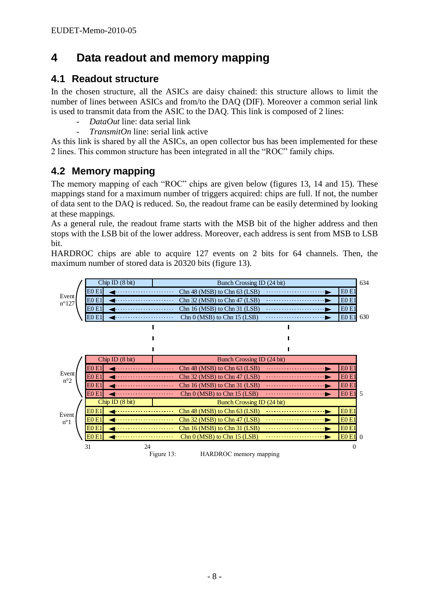# **4 Data readout and memory mapping**

#### **4.1 Readout structure**

In the chosen structure, all the ASICs are daisy chained: this structure allows to limit the number of lines between ASICs and from/to the DAQ (DIF). Moreover a common serial link is used to transmit data from the ASIC to the DAQ. This link is composed of 2 lines:

- *DataOut* line: data serial link
- *TransmitOn* line: serial link active

As this link is shared by all the ASICs, an open collector bus has been implemented for these 2 lines. This common structure has been integrated in all the "ROC" family chips.

### **4.2 Memory mapping**

The memory mapping of each "ROC" chips are given below (figures 13, 14 and 15). These mappings stand for a maximum number of triggers acquired: chips are full. If not, the number of data sent to the DAQ is reduced. So, the readout frame can be easily determined by looking at these mappings.

As a general rule, the readout frame starts with the MSB bit of the higher address and then stops with the LSB bit of the lower address. Moreover, each address is sent from MSB to LSB bit.

HARDROC chips are able to acquire 127 events on 2 bits for 64 channels. Then, the maximum number of stored data is 20320 bits (figure 13).

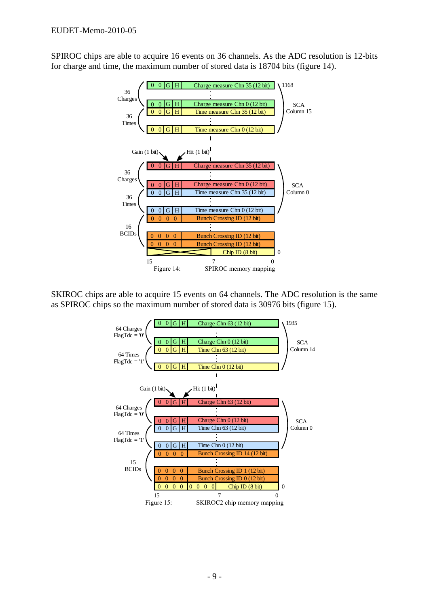SPIROC chips are able to acquire 16 events on 36 channels. As the ADC resolution is 12-bits for charge and time, the maximum number of stored data is 18704 bits (figure 14).



SKIROC chips are able to acquire 15 events on 64 channels. The ADC resolution is the same as SPIROC chips so the maximum number of stored data is 30976 bits (figure 15).

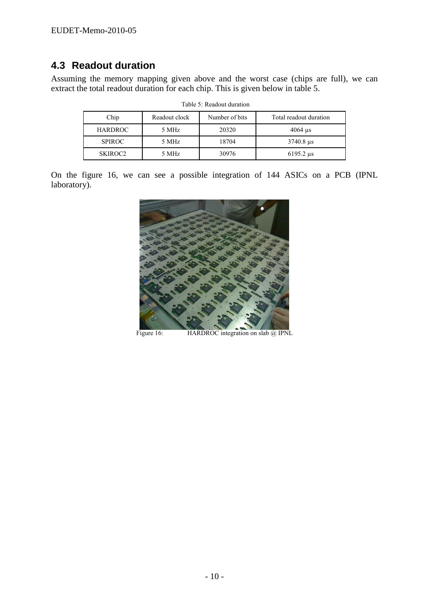### **4.3 Readout duration**

Assuming the memory mapping given above and the worst case (chips are full), we can extract the total readout duration for each chip. This is given below in table 5.

| Chip                | Readout clock | Number of bits | Total readout duration       |
|---------------------|---------------|----------------|------------------------------|
| <b>HARDROC</b>      | 5 MHz         | 20320          | $4064$ us                    |
| <b>SPIROC</b>       | 5 MHz         | 18704          | $3740.8 \text{ }\mu\text{s}$ |
| SKIROC <sub>2</sub> | 5 MHz         | 30976          | $6195.2 \text{ }\mu\text{s}$ |

Table 5: Readout duration

On the figure 16, we can see a possible integration of 144 ASICs on a PCB (IPNL laboratory).



Figure 16: HARDROC integration on slab @ IPNL